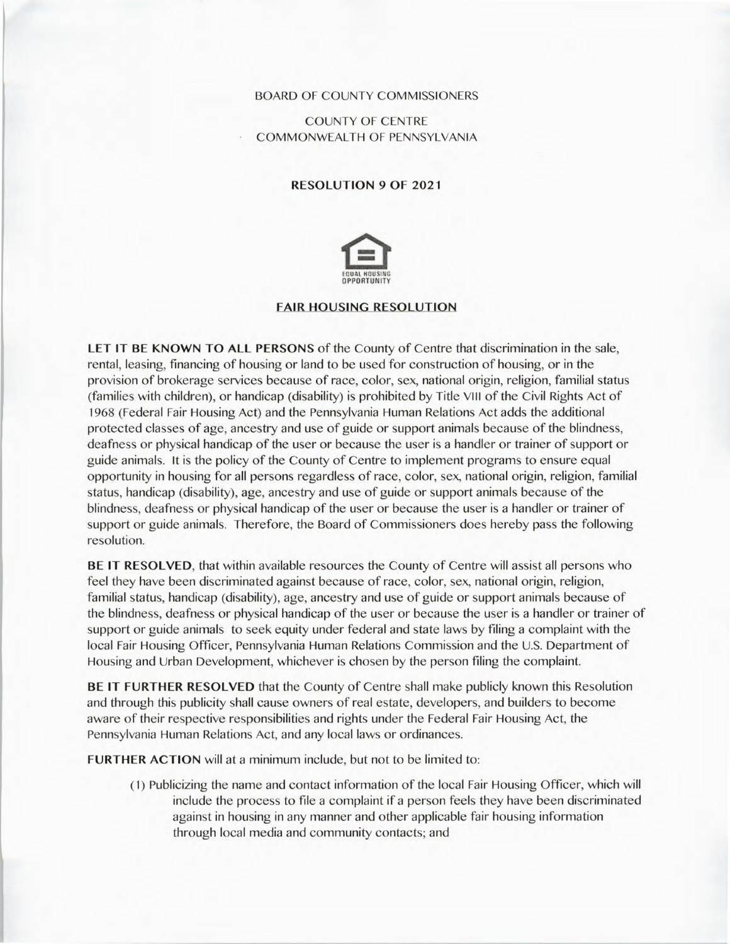## BOARD OF COUNTY COMMISSIONERS

COUNTY OF CENTRE COMMONWEALTH OF PENNSYLVANIA

## RESOLUTION 9 OF 2021



## FAIR HOUSING RESOLUTION

**LET IT BE KNOWN TO ALL PERSONS** of the County of Centre that discrimination in the sale, rental, leasing, financing of housing or land to be used for construction of housing, or in the provision of brokerage services because of race, color, sex, national origin, religion, familial status (families with children), or handicap (disability) is prohibited by Title VIII of the Civil Rights Act of 1968 (Federal Fair Housing Act) and the Pennsylvania Human Relations Act adds the additional protected classes of age, ancestry and use of guide or support animals because of the blindness, deafness or physical handicap of the user or because the user is a handler or trainer of support or guide animals. it is the policy of the County of Centre to implement programs to ensure equal opportunity in housing for all persons regardless of race, color, sex, national origin, religion, familial status, handicap (disability), age, ancestry and use of guide or support animals because of the blindness, deafness or physical handicap of the user or because the user is a handler or trainer of support or guide animals. Therefore, the Board of Commissioners does hereby pass the following resolution.

**BE IT RESOLVED,** that within available resources the County of Centre will assist all persons who feel they have been discriminated against because of race, color, sex, national origin, religion, familial status, handicap (disability), age, ancestry and use of guide or support animals because of the blindness, deafness or physical handicap of the user or because the user is a handler or trainer of support or guide animals to seek equity under federal and state laws by filing a complaint with the local Fair Housing Officer, Pennsylvania Human Relations Commission and the U.S. Department of Housing and Urban Development, whichever is chosen by the person filing the complaint.

**BE IT FURTHER RESOLVED** that the County of Centre shall make publicly known this Resolution and through this publicity shall cause owners of real estate, developers, and builders to become aware of their respective responsibilities and rights under the Federal Fair Housing Act, the Pennsylvania Human Relations Act, and any local laws or ordinances.

**FURTHER ACTION** will at a minimum include, but not to be limited to:

(1) Publicizing the name and contact information of the local Fair Housing Officer, which will include the process to file a complaint if a person feels they have been discriminated against in housing in any manner and other applicable fair housing information through local media and community contacts; and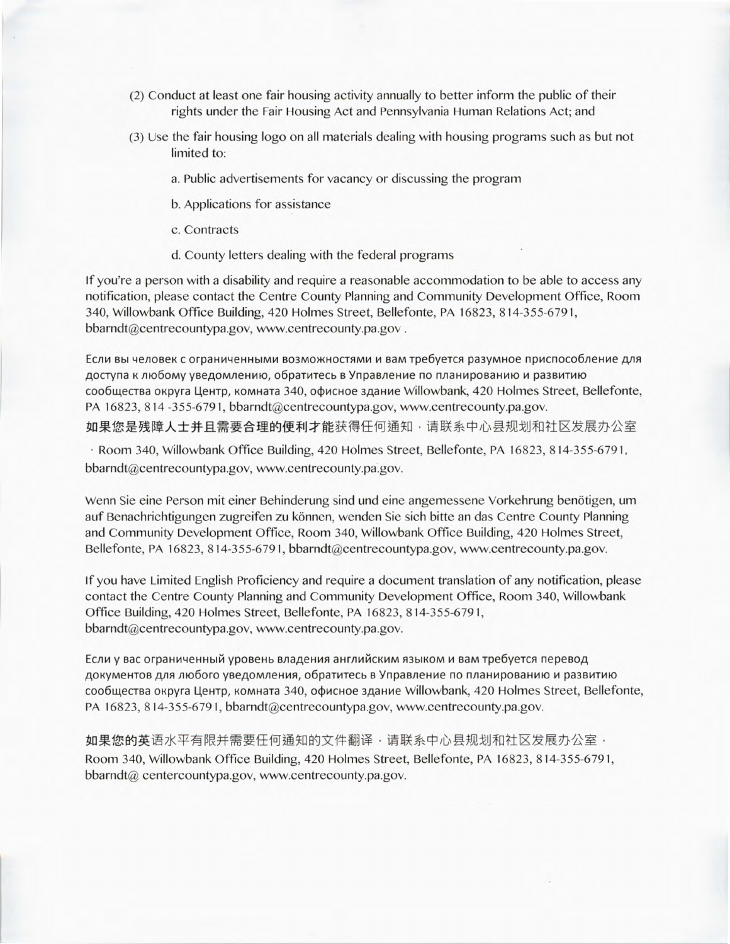- (2) Conduct at least one fair housing activity annually to better inform the public of their rights under the Fair Housing Act and Pennsylvania Human Relations Act; and
- (3) Use the fair housing logo on all materials dealing with housing programs such as but not limited to:
	- a. Public advertisements for vacancy or discussing the program
	- b. Applications for assistance
	- c. Contracts
	- d. County letters dealing with the federal programs

If you're a person with a disability and require a reasonable accommodation to be able to access any notification, please contact the Centre County Planning and Community Development Office, Room 340, Willowbank Office Building, 420 Holmes Street, Bellefonte, PA 16823, 814-355-6791, bbarndt@centrecountypa.gov, www.centrecounty.pa.gov.

Если вы человек с ограниченными возможностями и вам требуется разумное приспособление для доступа к любому уведомлению, обратитесь в Управление по планированию и развитию сообщества округа Центр, комната 340, офисное здание Willowbank, 420 Holmes Street, Bellefonte, PA 16823, 814 -355-6791, bbarndt@centrecountypa.gov, www.centrecounty.pa.gov. 如果您是残障人士并且需要合理的便利才能获得任何通知,请联系中心县规划和社区发展办公室

Room 340, Willowbank Office Building, 420 Holmes Street, Bellefonte, PA 16823, 814-355-6791, bbarndt@centrecountypa.gov, www.centrecounty.pa.gov.

Wenn Sie eine Person mit einer Behinderung sind und eine angemessene Vorkehrung benötigen, um auf Benachrichtigungen zugreifen zu können, wenden Sie sich bitte an das Centre County Planning and Community Development Office, Room 340, Willowbank Office Building, 420 Holmes Street, Bellefonte, PA 16823, 814-355-6791, bbarndt@centrecountypa.gov, www.centrecounty.pa.gov.

if you have Limited English Proficiency and require a document translation of any notification, please contact the Centre County Planning and Community Development Office, Room 340, Willowbank Office Building, 420 Holmes Street, Bellefonte, PA 16823, 814-355-6791, bbarndt@centrecountypa.gov, www.centrecounty.pa.gov.

Если у вас ограниченный уровень владения английским языком и вам требуется перевод документов для любого уведомления, обратитесь в Управление по планированию и развитию сообщества округа Центр, комната 340, офисное здание Willowbank, 420 Holmes Street, Bellefonte, PA 16823, 814-355-6791, bbarndt@centrecountypa.gov, www.centrecounty.pa.gov.

如果您的英语水平有限并需要任何通知的文件翻译,请联系中心县规划和社区发展办公室, Room 340, Willowbank Office Building, 420 Holmes Street, Bellefonte, PA 16823, 814-355-6791, bbarndt@ centercountypa.gov, www.centrecounty.pa.gov.